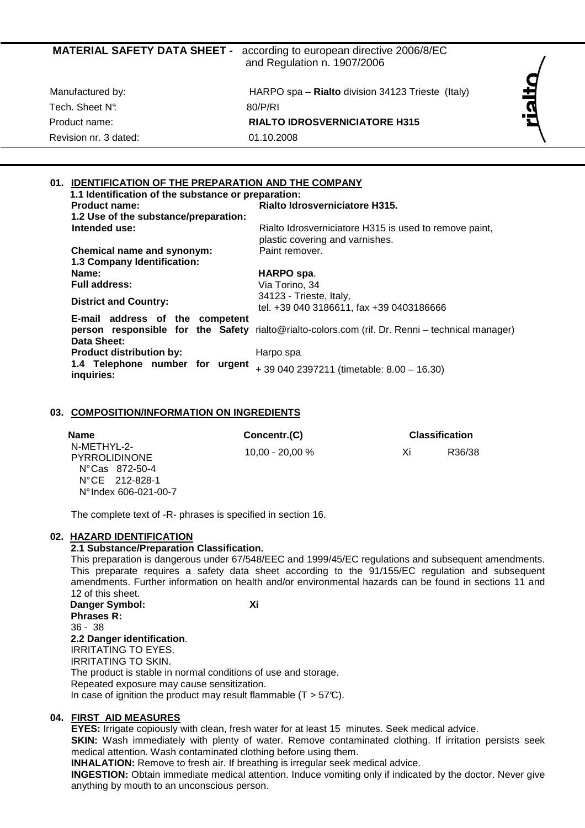| <b>MATERIAL SAFETY DATA SHEET -</b> | according to european directive 2006/8/EC<br>and Regulation n. 1907/2006 |    |
|-------------------------------------|--------------------------------------------------------------------------|----|
| Manufactured by:                    | HARPO spa - Rialto division 34123 Trieste (Italy)                        | 원  |
| Tech. Sheet N°.                     | 80/P/RI                                                                  | 2. |
| Product name:                       | <b>RIALTO IDROSVERNICIATORE H315</b>                                     |    |
| Revision nr. 3 dated:               | 01.10.2008                                                               |    |
|                                     |                                                                          |    |

# **01. IDENTIFICATION OF THE PREPARATION AND THE COMPANY**

| 1.1 Identification of the substance or preparation: |                                                                                                 |
|-----------------------------------------------------|-------------------------------------------------------------------------------------------------|
| <b>Product name:</b>                                | Rialto Idrosverniciatore H315.                                                                  |
| 1.2 Use of the substance/preparation:               |                                                                                                 |
| Intended use:                                       | Rialto Idrosverniciatore H315 is used to remove paint,<br>plastic covering and varnishes.       |
| Chemical name and synonym:                          | Paint remover.                                                                                  |
| 1.3 Company Identification:                         |                                                                                                 |
| Name:                                               | HARPO spa.                                                                                      |
| <b>Full address:</b>                                | Via Torino, 34                                                                                  |
|                                                     | 34123 - Trieste, Italy,                                                                         |
| <b>District and Country:</b>                        | tel. +39 040 3186611, fax +39 0403186666                                                        |
| E-mail address of the competent<br>Data Sheet:      | person responsible for the Safety rialto@rialto-colors.com (rif. Dr. Renni – technical manager) |
| <b>Product distribution by:</b>                     | Harpo spa                                                                                       |
| 1.4 Telephone number for urgent<br>inquiries:       | +39 040 2397211 (timetable: 8.00 - 16.30)                                                       |

### **03. COMPOSITION/INFORMATION ON INGREDIENTS**

| <b>Name</b>                                                                                                   | Concentr.(C)      |    | <b>Classification</b> |
|---------------------------------------------------------------------------------------------------------------|-------------------|----|-----------------------|
| N-METHYL-2-<br>PYRROLIDINONE<br>$N^{\circ}$ Cas 872-50-4<br>$N^{\circ}$ CE 212-828-1<br>N° Index 606-021-00-7 | $10.00 - 20.00 %$ | Xi | R36/38                |

The complete text of -R- phrases is specified in section 16.

# **02. HAZARD IDENTIFICATION**

# **2.1 Substance/Preparation Classification.**

This preparation is dangerous under 67/548/EEC and 1999/45/EC regulations and subsequent amendments. This preparate requires a safety data sheet according to the 91/155/EC regulation and subsequent amendments. Further information on health and/or environmental hazards can be found in sections 11 and 12 of this sheet.

**Danger Symbol: Xi Phrases R:**  36 - 38 **2.2 Danger identification**. IRRITATING TO EYES. IRRITATING TO SKIN. The product is stable in normal conditions of use and storage. Repeated exposure may cause sensitization. In case of ignition the product may result flammable  $(T > 57^{\circ}C)$ .

# **04. FIRST AID MEASURES**

**EYES:** Irrigate copiously with clean, fresh water for at least 15 minutes. Seek medical advice. **SKIN:** Wash immediately with plenty of water. Remove contaminated clothing. If irritation persists seek medical attention. Wash contaminated clothing before using them.

**INHALATION:** Remove to fresh air. If breathing is irregular seek medical advice.

**INGESTION:** Obtain immediate medical attention. Induce vomiting only if indicated by the doctor. Never give anything by mouth to an unconscious person.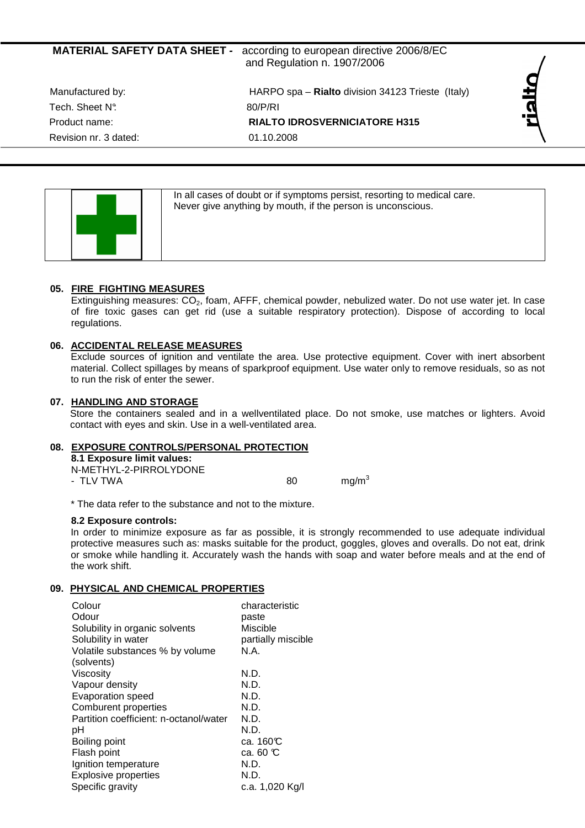# **MATERIAL SAFETY DATA SHEET -** according to european directive 2006/8/EC and Regulation n. 1907/2006

Tech. Sheet N°: 80/P/RI Revision nr. 3 dated: 01.10.2008

Manufactured by: HARPO spa – **Rialto** division 34123 Trieste (Italy) Product name: **RIALTO IDROSVERNICIATORE H315** 



In all cases of doubt or if symptoms persist, resorting to medical care. Never give anything by mouth, if the person is unconscious.

# **05. FIRE FIGHTING MEASURES**

Extinguishing measures:  $CO<sub>2</sub>$ , foam, AFFF, chemical powder, nebulized water. Do not use water jet. In case of fire toxic gases can get rid (use a suitable respiratory protection). Dispose of according to local regulations.

# **06. ACCIDENTAL RELEASE MEASURES**

Exclude sources of ignition and ventilate the area. Use protective equipment. Cover with inert absorbent material. Collect spillages by means of sparkproof equipment. Use water only to remove residuals, so as not to run the risk of enter the sewer.

# **07. HANDLING AND STORAGE**

Store the containers sealed and in a wellventilated place. Do not smoke, use matches or lighters. Avoid contact with eyes and skin. Use in a well-ventilated area.

# **08. EXPOSURE CONTROLS/PERSONAL PROTECTION**

**8.1 Exposure limit values:** 

N-METHYL-2-PIRROLYDONE - TLV TWA  $80 \text{ mq/m}^3$ 

\* The data refer to the substance and not to the mixture.

# **8.2 Exposure controls:**

In order to minimize exposure as far as possible, it is strongly recommended to use adequate individual protective measures such as: masks suitable for the product, goggles, gloves and overalls. Do not eat, drink or smoke while handling it. Accurately wash the hands with soap and water before meals and at the end of the work shift.

# **09. PHYSICAL AND CHEMICAL PROPERTIES**

| Colour<br>Odour<br>Solubility in organic solvents<br>Solubility in water<br>Volatile substances % by volume<br>(solvents) | characteristic<br>paste<br>Miscible<br>partially miscible<br>N.A. |
|---------------------------------------------------------------------------------------------------------------------------|-------------------------------------------------------------------|
| Viscosity                                                                                                                 | N.D.                                                              |
| Vapour density                                                                                                            | N.D.                                                              |
| <b>Evaporation speed</b>                                                                                                  | N.D.                                                              |
| Comburent properties                                                                                                      | N.D.                                                              |
| Partition coefficient: n-octanol/water                                                                                    | N.D.                                                              |
| рH                                                                                                                        | N.D.                                                              |
| Boiling point                                                                                                             | ca. 160℃                                                          |
| Flash point                                                                                                               | ca. 60 $\mathbb C$                                                |
| Ignition temperature                                                                                                      | N.D.                                                              |
| <b>Explosive properties</b>                                                                                               | N.D.                                                              |
| Specific gravity                                                                                                          | c.a. 1,020 Kg/l                                                   |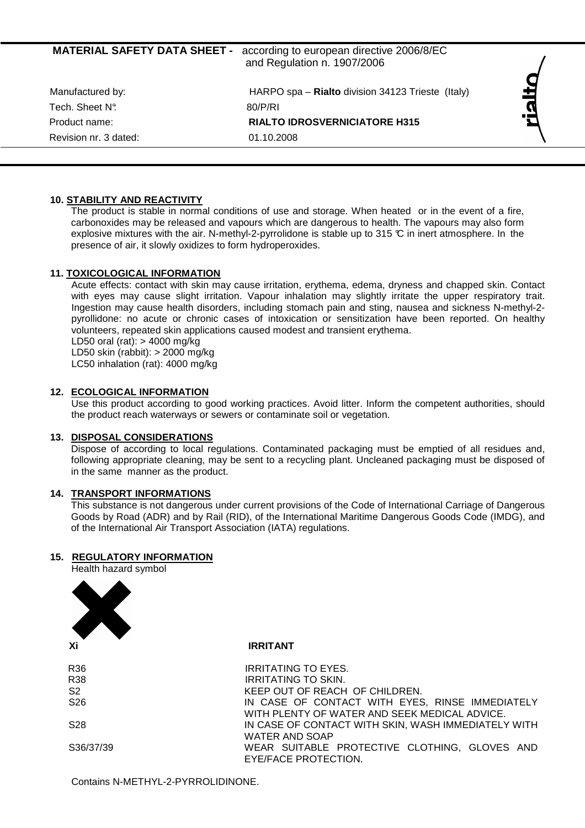| <b>MATERIAL SAFETY DATA SHEET -</b> | according to european directive 2006/8/EC<br>and Regulation n. 1907/2006 |  |
|-------------------------------------|--------------------------------------------------------------------------|--|
| Manufactured by:                    | HARPO spa - Rialto division 34123 Trieste (Italy)                        |  |
| Tech. Sheet N°.<br>Product name:    | 80/P/RI<br><b>RIALTO IDROSVERNICIATORE H315</b>                          |  |
| Revision nr. 3 dated:               | 01.10.2008                                                               |  |

# **10. STABILITY AND REACTIVITY**

The product is stable in normal conditions of use and storage. When heated or in the event of a fire, carbonoxides may be released and vapours which are dangerous to health. The vapours may also form explosive mixtures with the air. N-methyl-2-pyrrolidone is stable up to 315  $\mathbb C$  in inert atmosphere. In the presence of air, it slowly oxidizes to form hydroperoxides.

# **11. TOXICOLOGICAL INFORMATION**

Acute effects: contact with skin may cause irritation, erythema, edema, dryness and chapped skin. Contact with eyes may cause slight irritation. Vapour inhalation may slightly irritate the upper respiratory trait. Ingestion may cause health disorders, including stomach pain and sting, nausea and sickness N-methyl-2 pyrollidone: no acute or chronic cases of intoxication or sensitization have been reported. On healthy volunteers, repeated skin applications caused modest and transient erythema.

LD50 oral (rat):  $>$  4000 mg/kg

LD50 skin (rabbit): > 2000 mg/kg

LC50 inhalation (rat): 4000 mg/kg

# **12. ECOLOGICAL INFORMATION**

Use this product according to good working practices. Avoid litter. Inform the competent authorities, should the product reach waterways or sewers or contaminate soil or vegetation.

#### **13. DISPOSAL CONSIDERATIONS**

Dispose of according to local regulations. Contaminated packaging must be emptied of all residues and, following appropriate cleaning, may be sent to a recycling plant. Uncleaned packaging must be disposed of in the same manner as the product.

## **14. TRANSPORT INFORMATIONS**

This substance is not dangerous under current provisions of the Code of International Carriage of Dangerous Goods by Road (ADR) and by Rail (RID), of the International Maritime Dangerous Goods Code (IMDG), and of the International Air Transport Association (IATA) regulations.

# **15. REGULATORY INFORMATION**

Health hazard symbol



**IRRITANT** 

| R36             | <b>IRRITATING TO EYES.</b>                          |
|-----------------|-----------------------------------------------------|
| <b>R38</b>      | <b>IRRITATING TO SKIN.</b>                          |
| S <sub>2</sub>  | KEEP OUT OF REACH OF CHILDREN.                      |
| S <sub>26</sub> | IN CASE OF CONTACT WITH EYES, RINSE IMMEDIATELY     |
|                 | WITH PLENTY OF WATER AND SEEK MEDICAL ADVICE.       |
| S <sub>28</sub> | IN CASE OF CONTACT WITH SKIN, WASH IMMEDIATELY WITH |
|                 | <b>WATER AND SOAP</b>                               |
| S36/37/39       | WEAR SUITABLE PROTECTIVE CLOTHING, GLOVES AND       |
|                 | EYE/FACE PROTECTION.                                |